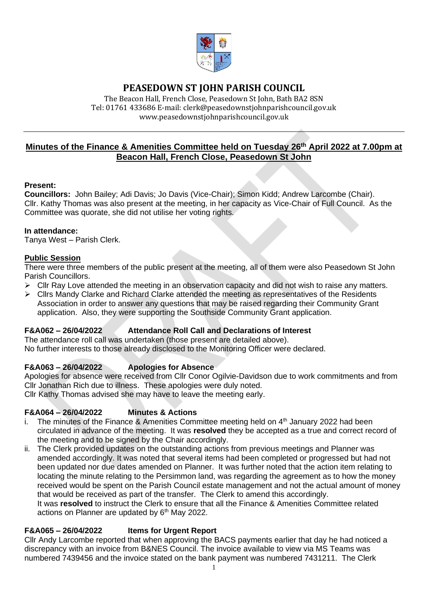

# **PEASEDOWN ST JOHN PARISH COUNCIL**

The Beacon Hall, French Close, Peasedown St John, Bath BA2 8SN Tel: 01761 433686 E-mail: clerk@peasedownstjohnparishcouncil.gov.uk [www.peasedownstjohnparishcouncil.gov.uk](http://www.peasedownstjohnparishcouncil.gov.uk/)

# **Minutes of the Finance & Amenities Committee held on Tuesday 26th April 2022 at 7.00pm at Beacon Hall, French Close, Peasedown St John**

#### **Present:**

**Councillors:** John Bailey; Adi Davis; Jo Davis (Vice-Chair); Simon Kidd; Andrew Larcombe (Chair). Cllr. Kathy Thomas was also present at the meeting, in her capacity as Vice-Chair of Full Council. As the Committee was quorate, she did not utilise her voting rights.

#### **In attendance:**

Tanya West – Parish Clerk.

### **Public Session**

There were three members of the public present at the meeting, all of them were also Peasedown St John Parish Councillors.

- ➢ Cllr Ray Love attended the meeting in an observation capacity and did not wish to raise any matters.
- ➢ Cllrs Mandy Clarke and Richard Clarke attended the meeting as representatives of the Residents Association in order to answer any questions that may be raised regarding their Community Grant application. Also, they were supporting the Southside Community Grant application.

### **F&A062 – 26/04/2022 Attendance Roll Call and Declarations of Interest**

The attendance roll call was undertaken (those present are detailed above). No further interests to those already disclosed to the Monitoring Officer were declared.

### **F&A063 – 26/04/2022 Apologies for Absence**

Apologies for absence were received from Cllr Conor Ogilvie-Davidson due to work commitments and from Cllr Jonathan Rich due to illness. These apologies were duly noted. Cllr Kathy Thomas advised she may have to leave the meeting early.

### **F&A064 – 26/04/2022 Minutes & Actions**

- i. The minutes of the Finance & Amenities Committee meeting held on  $4<sup>th</sup>$  January 2022 had been circulated in advance of the meeting. It was **resolved** they be accepted as a true and correct record of the meeting and to be signed by the Chair accordingly.
- ii. The Clerk provided updates on the outstanding actions from previous meetings and Planner was amended accordingly. It was noted that several items had been completed or progressed but had not been updated nor due dates amended on Planner. It was further noted that the action item relating to locating the minute relating to the Persimmon land, was regarding the agreement as to how the money received would be spent on the Parish Council estate management and not the actual amount of money that would be received as part of the transfer. The Clerk to amend this accordingly. It was **resolved** to instruct the Clerk to ensure that all the Finance & Amenities Committee related

actions on Planner are updated by 6<sup>th</sup> May 2022.

### **F&A065 – 26/04/2022 Items for Urgent Report**

Cllr Andy Larcombe reported that when approving the BACS payments earlier that day he had noticed a discrepancy with an invoice from B&NES Council. The invoice available to view via MS Teams was numbered 7439456 and the invoice stated on the bank payment was numbered 7431211. The Clerk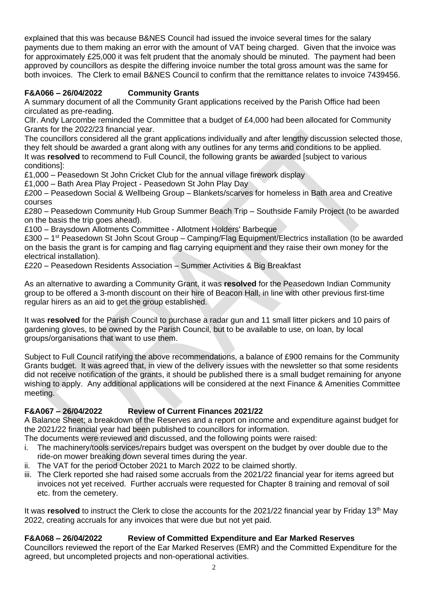explained that this was because B&NES Council had issued the invoice several times for the salary payments due to them making an error with the amount of VAT being charged. Given that the invoice was for approximately £25,000 it was felt prudent that the anomaly should be minuted. The payment had been approved by councillors as despite the differing invoice number the total gross amount was the same for both invoices. The Clerk to email B&NES Council to confirm that the remittance relates to invoice 7439456.

# **F&A066 – 26/04/2022 Community Grants**

A summary document of all the Community Grant applications received by the Parish Office had been circulated as pre-reading.

Cllr. Andy Larcombe reminded the Committee that a budget of £4,000 had been allocated for Community Grants for the 2022/23 financial year.

The councillors considered all the grant applications individually and after lengthy discussion selected those, they felt should be awarded a grant along with any outlines for any terms and conditions to be applied. It was **resolved** to recommend to Full Council, the following grants be awarded [subject to various conditions]:

£1,000 – Peasedown St John Cricket Club for the annual village firework display

£1,000 – Bath Area Play Project - Peasedown St John Play Day

£200 – Peasedown Social & Wellbeing Group – Blankets/scarves for homeless in Bath area and Creative courses

£280 – Peasedown Community Hub Group Summer Beach Trip – Southside Family Project (to be awarded on the basis the trip goes ahead).

£100 – Braysdown Allotments Committee - Allotment Holders' Barbeque

£300 – 1<sup>st</sup> Peasedown St John Scout Group – Camping/Flag Equipment/Electrics installation (to be awarded on the basis the grant is for camping and flag carrying equipment and they raise their own money for the electrical installation).

£220 – Peasedown Residents Association – Summer Activities & Big Breakfast

As an alternative to awarding a Community Grant, it was **resolved** for the Peasedown Indian Community group to be offered a 3-month discount on their hire of Beacon Hall, in line with other previous first-time regular hirers as an aid to get the group established.

It was **resolved** for the Parish Council to purchase a radar gun and 11 small litter pickers and 10 pairs of gardening gloves, to be owned by the Parish Council, but to be available to use, on loan, by local groups/organisations that want to use them.

Subject to Full Council ratifying the above recommendations, a balance of £900 remains for the Community Grants budget. It was agreed that, in view of the delivery issues with the newsletter so that some residents did not receive notification of the grants, it should be published there is a small budget remaining for anyone wishing to apply. Any additional applications will be considered at the next Finance & Amenities Committee meeting.

# **F&A067 – 26/04/2022 Review of Current Finances 2021/22**

A Balance Sheet; a breakdown of the Reserves and a report on income and expenditure against budget for the 2021/22 financial year had been published to councillors for information.

The documents were reviewed and discussed, and the following points were raised:

- i. The machinery/tools services/repairs budget was overspent on the budget by over double due to the ride-on mower breaking down several times during the year.
- ii. The VAT for the period October 2021 to March 2022 to be claimed shortly.
- iii. The Clerk reported she had raised some accruals from the 2021/22 financial year for items agreed but invoices not yet received. Further accruals were requested for Chapter 8 training and removal of soil etc. from the cemetery.

It was **resolved** to instruct the Clerk to close the accounts for the 2021/22 financial year by Friday 13<sup>th</sup> May 2022, creating accruals for any invoices that were due but not yet paid.

# **F&A068 – 26/04/2022 Review of Committed Expenditure and Ear Marked Reserves**

Councillors reviewed the report of the Ear Marked Reserves (EMR) and the Committed Expenditure for the agreed, but uncompleted projects and non-operational activities.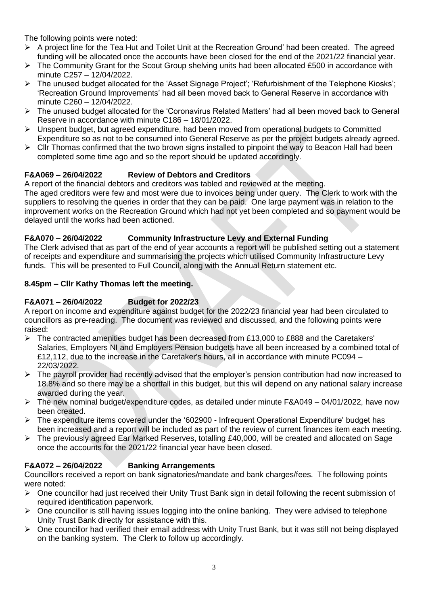The following points were noted:

- ➢ A project line for the Tea Hut and Toilet Unit at the Recreation Ground' had been created. The agreed funding will be allocated once the accounts have been closed for the end of the 2021/22 financial year.
- ➢ The Community Grant for the Scout Group shelving units had been allocated £500 in accordance with minute C257 – 12/04/2022.
- ➢ The unused budget allocated for the 'Asset Signage Project'; 'Refurbishment of the Telephone Kiosks'; 'Recreation Ground Improvements' had all been moved back to General Reserve in accordance with minute C260 – 12/04/2022.
- ➢ The unused budget allocated for the 'Coronavirus Related Matters' had all been moved back to General Reserve in accordance with minute C186 – 18/01/2022.
- ➢ Unspent budget, but agreed expenditure, had been moved from operational budgets to Committed Expenditure so as not to be consumed into General Reserve as per the project budgets already agreed.
- $\triangleright$  Cllr Thomas confirmed that the two brown signs installed to pinpoint the way to Beacon Hall had been completed some time ago and so the report should be updated accordingly.

## **F&A069 – 26/04/2022 Review of Debtors and Creditors**

A report of the financial debtors and creditors was tabled and reviewed at the meeting.

The aged creditors were few and most were due to invoices being under query. The Clerk to work with the suppliers to resolving the queries in order that they can be paid. One large payment was in relation to the improvement works on the Recreation Ground which had not yet been completed and so payment would be delayed until the works had been actioned.

### **F&A070 – 26/04/2022 Community Infrastructure Levy and External Funding**

The Clerk advised that as part of the end of year accounts a report will be published setting out a statement of receipts and expenditure and summarising the projects which utilised Community Infrastructure Levy funds. This will be presented to Full Council, along with the Annual Return statement etc.

#### **8.45pm – Cllr Kathy Thomas left the meeting.**

#### **F&A071 – 26/04/2022 Budget for 2022/23**

A report on income and expenditure against budget for the 2022/23 financial year had been circulated to councillors as pre-reading. The document was reviewed and discussed, and the following points were raised:

- $\triangleright$  The contracted amenities budget has been decreased from £13,000 to £888 and the Caretakers' Salaries, Employers NI and Employers Pension budgets have all been increased by a combined total of £12,112, due to the increase in the Caretaker's hours, all in accordance with minute PC094 – 22/03/2022.
- $\triangleright$  The payroll provider had recently advised that the employer's pension contribution had now increased to 18.8% and so there may be a shortfall in this budget, but this will depend on any national salary increase awarded during the year.
- $\triangleright$  The new nominal budget/expenditure codes, as detailed under minute F&A049 04/01/2022, have now been created.
- ➢ The expenditure items covered under the '602900 Infrequent Operational Expenditure' budget has been increased and a report will be included as part of the review of current finances item each meeting.
- ➢ The previously agreed Ear Marked Reserves, totalling £40,000, will be created and allocated on Sage once the accounts for the 2021/22 financial year have been closed.

### **F&A072 – 26/04/2022 Banking Arrangements**

Councillors received a report on bank signatories/mandate and bank charges/fees. The following points were noted:

- ➢ One councillor had just received their Unity Trust Bank sign in detail following the recent submission of required identification paperwork.
- $\triangleright$  One councillor is still having issues logging into the online banking. They were advised to telephone Unity Trust Bank directly for assistance with this.
- ➢ One councillor had verified their email address with Unity Trust Bank, but it was still not being displayed on the banking system. The Clerk to follow up accordingly.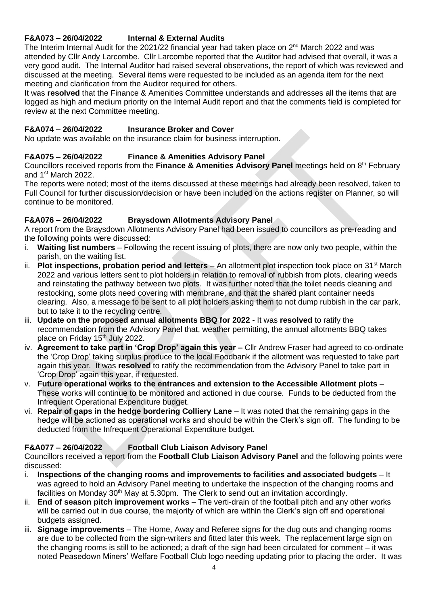# **F&A073 – 26/04/2022 Internal & External Audits**

The Interim Internal Audit for the 2021/22 financial year had taken place on 2<sup>nd</sup> March 2022 and was attended by Cllr Andy Larcombe. Cllr Larcombe reported that the Auditor had advised that overall, it was a very good audit. The Internal Auditor had raised several observations, the report of which was reviewed and discussed at the meeting. Several items were requested to be included as an agenda item for the next meeting and clarification from the Auditor required for others.

It was **resolved** that the Finance & Amenities Committee understands and addresses all the items that are logged as high and medium priority on the Internal Audit report and that the comments field is completed for review at the next Committee meeting.

### **F&A074 – 26/04/2022 Insurance Broker and Cover**

No update was available on the insurance claim for business interruption.

## **F&A075 – 26/04/2022 Finance & Amenities Advisory Panel**

Councillors received reports from the **Finance & Amenities Advisory Panel** meetings held on 8th February and 1st March 2022.

The reports were noted; most of the items discussed at these meetings had already been resolved, taken to Full Council for further discussion/decision or have been included on the actions register on Planner, so will continue to be monitored.

### **F&A076 – 26/04/2022 Braysdown Allotments Advisory Panel**

A report from the Braysdown Allotments Advisory Panel had been issued to councillors as pre-reading and the following points were discussed:

- i. **Waiting list numbers** Following the recent issuing of plots, there are now only two people, within the parish, on the waiting list.
- ii. **Plot inspections, probation period and letters** An allotment plot inspection took place on 31<sup>st</sup> March 2022 and various letters sent to plot holders in relation to removal of rubbish from plots, clearing weeds and reinstating the pathway between two plots. It was further noted that the toilet needs cleaning and restocking, some plots need covering with membrane, and that the shared plant container needs clearing. Also, a message to be sent to all plot holders asking them to not dump rubbish in the car park, but to take it to the recycling centre.
- iii. **Update on the proposed annual allotments BBQ for 2022** It was **resolved** to ratify the recommendation from the Advisory Panel that, weather permitting, the annual allotments BBQ takes place on Friday 15<sup>th</sup> July 2022.
- iv. **Agreement to take part in 'Crop Drop' again this year –** Cllr Andrew Fraser had agreed to co-ordinate the 'Crop Drop' taking surplus produce to the local Foodbank if the allotment was requested to take part again this year. It was **resolved** to ratify the recommendation from the Advisory Panel to take part in 'Crop Drop' again this year, if requested.
- v. **Future operational works to the entrances and extension to the Accessible Allotment plots** These works will continue to be monitored and actioned in due course. Funds to be deducted from the Infrequent Operational Expenditure budget.
- vi. **Repair of gaps in the hedge bordering Colliery Lane** It was noted that the remaining gaps in the hedge will be actioned as operational works and should be within the Clerk's sign off. The funding to be deducted from the Infrequent Operational Expenditure budget.

### **F&A077 – 26/04/2022 Football Club Liaison Advisory Panel**

Councillors received a report from the **Football Club Liaison Advisory Panel** and the following points were discussed:

- i. **Inspections of the changing rooms and improvements to facilities and associated budgets** It was agreed to hold an Advisory Panel meeting to undertake the inspection of the changing rooms and facilities on Monday 30<sup>th</sup> May at 5.30pm. The Clerk to send out an invitation accordingly.
- ii. **End of season pitch improvement works** The verti-drain of the football pitch and any other works will be carried out in due course, the majority of which are within the Clerk's sign off and operational budgets assigned.
- iii. **Signage improvements** The Home, Away and Referee signs for the dug outs and changing rooms are due to be collected from the sign-writers and fitted later this week. The replacement large sign on the changing rooms is still to be actioned; a draft of the sign had been circulated for comment – it was noted Peasedown Miners' Welfare Football Club logo needing updating prior to placing the order. It was